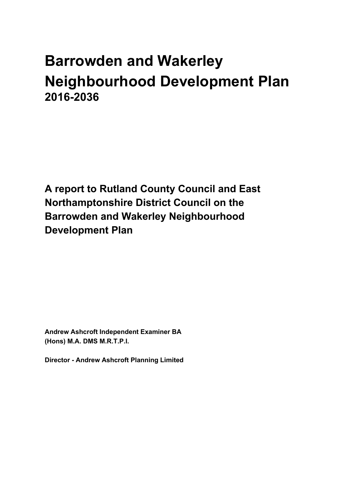# **Barrowden and Wakerley Neighbourhood Development Plan 2016-2036**

**A report to Rutland County Council and East Northamptonshire District Council on the Barrowden and Wakerley Neighbourhood Development Plan**

**Andrew Ashcroft Independent Examiner BA (Hons) M.A. DMS M.R.T.P.I.**

**Director - Andrew Ashcroft Planning Limited**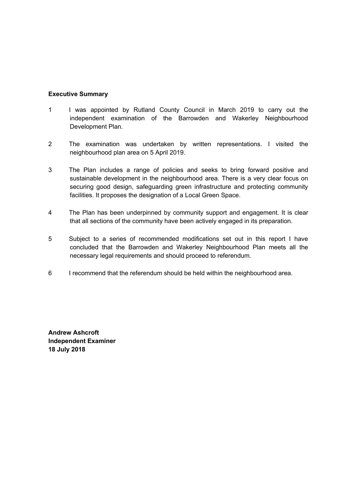## **Executive Summary**

- 1 I was appointed by Rutland County Council in March 2019 to carry out the independent examination of the Barrowden and Wakerley Neighbourhood Development Plan.
- 2 The examination was undertaken by written representations. I visited the neighbourhood plan area on 5 April 2019.
- 3 The Plan includes a range of policies and seeks to bring forward positive and sustainable development in the neighbourhood area. There is a very clear focus on securing good design, safeguarding green infrastructure and protecting community facilities. It proposes the designation of a Local Green Space.
- 4 The Plan has been underpinned by community support and engagement. It is clear that all sections of the community have been actively engaged in its preparation.
- 5 Subject to a series of recommended modifications set out in this report I have concluded that the Barrowden and Wakerley Neighbourhood Plan meets all the necessary legal requirements and should proceed to referendum.
- 6 I recommend that the referendum should be held within the neighbourhood area.

**Andrew Ashcroft Independent Examiner 18 July 2018**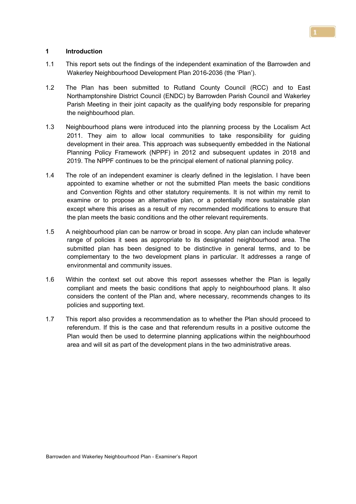## **1 Introduction**

- 1.1 This report sets out the findings of the independent examination of the Barrowden and Wakerley Neighbourhood Development Plan 2016-2036 (the 'Plan').
- 1.2 The Plan has been submitted to Rutland County Council (RCC) and to East Northamptonshire District Council (ENDC) by Barrowden Parish Council and Wakerley Parish Meeting in their joint capacity as the qualifying body responsible for preparing the neighbourhood plan.
- 1.3 Neighbourhood plans were introduced into the planning process by the Localism Act 2011. They aim to allow local communities to take responsibility for guiding development in their area. This approach was subsequently embedded in the National Planning Policy Framework (NPPF) in 2012 and subsequent updates in 2018 and 2019. The NPPF continues to be the principal element of national planning policy.
- 1.4 The role of an independent examiner is clearly defined in the legislation. I have been appointed to examine whether or not the submitted Plan meets the basic conditions and Convention Rights and other statutory requirements. It is not within my remit to examine or to propose an alternative plan, or a potentially more sustainable plan except where this arises as a result of my recommended modifications to ensure that the plan meets the basic conditions and the other relevant requirements.
- 1.5 A neighbourhood plan can be narrow or broad in scope. Any plan can include whatever range of policies it sees as appropriate to its designated neighbourhood area. The submitted plan has been designed to be distinctive in general terms, and to be complementary to the two development plans in particular. It addresses a range of environmental and community issues.
- 1.6 Within the context set out above this report assesses whether the Plan is legally compliant and meets the basic conditions that apply to neighbourhood plans. It also considers the content of the Plan and, where necessary, recommends changes to its policies and supporting text.
- 1.7 This report also provides a recommendation as to whether the Plan should proceed to referendum. If this is the case and that referendum results in a positive outcome the Plan would then be used to determine planning applications within the neighbourhood area and will sit as part of the development plans in the two administrative areas.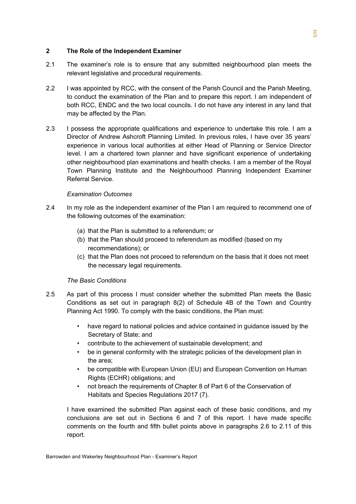## **2 The Role of the Independent Examiner**

- 2.1 The examiner's role is to ensure that any submitted neighbourhood plan meets the relevant legislative and procedural requirements.
- 2.2 I was appointed by RCC, with the consent of the Parish Council and the Parish Meeting, to conduct the examination of the Plan and to prepare this report. I am independent of both RCC, ENDC and the two local councils. I do not have any interest in any land that may be affected by the Plan.
- 2.3 I possess the appropriate qualifications and experience to undertake this role. I am a Director of Andrew Ashcroft Planning Limited. In previous roles, I have over 35 years' experience in various local authorities at either Head of Planning or Service Director level. I am a chartered town planner and have significant experience of undertaking other neighbourhood plan examinations and health checks. I am a member of the Royal Town Planning Institute and the Neighbourhood Planning Independent Examiner Referral Service.

## *Examination Outcomes*

- 2.4 In my role as the independent examiner of the Plan I am required to recommend one of the following outcomes of the examination:
	- (a) that the Plan is submitted to a referendum; or
	- (b) that the Plan should proceed to referendum as modified (based on my recommendations); or
	- (c) that the Plan does not proceed to referendum on the basis that it does not meet the necessary legal requirements.

## *The Basic Conditions*

- 2.5 As part of this process I must consider whether the submitted Plan meets the Basic Conditions as set out in paragraph 8(2) of Schedule 4B of the Town and Country Planning Act 1990. To comply with the basic conditions, the Plan must:
	- have regard to national policies and advice contained in guidance issued by the Secretary of State; and
	- contribute to the achievement of sustainable development; and
	- be in general conformity with the strategic policies of the development plan in the area;
	- be compatible with European Union (EU) and European Convention on Human Rights (ECHR) obligations; and
	- not breach the requirements of Chapter 8 of Part 6 of the Conservation of Habitats and Species Regulations 2017 (7).

I have examined the submitted Plan against each of these basic conditions, and my conclusions are set out in Sections 6 and 7 of this report. I have made specific comments on the fourth and fifth bullet points above in paragraphs 2.6 to 2.11 of this report.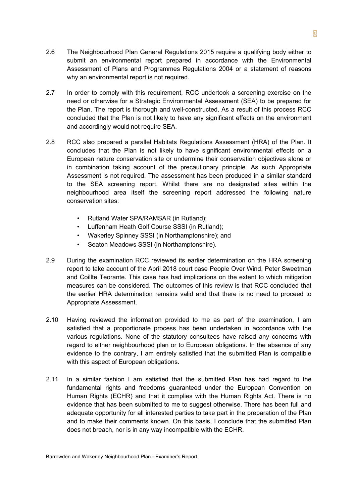- 2.6 The Neighbourhood Plan General Regulations 2015 require a qualifying body either to submit an environmental report prepared in accordance with the Environmental Assessment of Plans and Programmes Regulations 2004 or a statement of reasons why an environmental report is not required.
- 2.7 In order to comply with this requirement, RCC undertook a screening exercise on the need or otherwise for a Strategic Environmental Assessment (SEA) to be prepared for the Plan. The report is thorough and well-constructed. As a result of this process RCC concluded that the Plan is not likely to have any significant effects on the environment and accordingly would not require SEA.
- 2.8 RCC also prepared a parallel Habitats Regulations Assessment (HRA) of the Plan. It concludes that the Plan is not likely to have significant environmental effects on a European nature conservation site or undermine their conservation objectives alone or in combination taking account of the precautionary principle. As such Appropriate Assessment is not required. The assessment has been produced in a similar standard to the SEA screening report. Whilst there are no designated sites within the neighbourhood area itself the screening report addressed the following nature conservation sites:
	- Rutland Water SPA/RAMSAR (in Rutland);
	- Luffenham Heath Golf Course SSSI (in Rutland);
	- Wakerley Spinney SSSI (in Northamptonshire); and
	- Seaton Meadows SSSI (in Northamptonshire).
- 2.9 During the examination RCC reviewed its earlier determination on the HRA screening report to take account of the April 2018 court case People Over Wind, Peter Sweetman and Coillte Teorante. This case has had implications on the extent to which mitigation measures can be considered. The outcomes of this review is that RCC concluded that the earlier HRA determination remains valid and that there is no need to proceed to Appropriate Assessment.
- 2.10 Having reviewed the information provided to me as part of the examination, I am satisfied that a proportionate process has been undertaken in accordance with the various regulations. None of the statutory consultees have raised any concerns with regard to either neighbourhood plan or to European obligations. In the absence of any evidence to the contrary, I am entirely satisfied that the submitted Plan is compatible with this aspect of European obligations.
- 2.11 In a similar fashion I am satisfied that the submitted Plan has had regard to the fundamental rights and freedoms guaranteed under the European Convention on Human Rights (ECHR) and that it complies with the Human Rights Act. There is no evidence that has been submitted to me to suggest otherwise. There has been full and adequate opportunity for all interested parties to take part in the preparation of the Plan and to make their comments known. On this basis, I conclude that the submitted Plan does not breach, nor is in any way incompatible with the ECHR.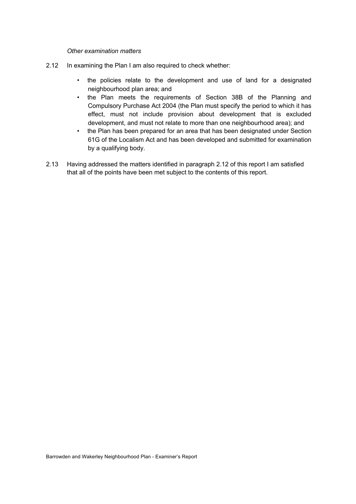*Other examination matters*

- 2.12 In examining the Plan I am also required to check whether:
	- the policies relate to the development and use of land for a designated neighbourhood plan area; and
	- the Plan meets the requirements of Section 38B of the Planning and Compulsory Purchase Act 2004 (the Plan must specify the period to which it has effect, must not include provision about development that is excluded development, and must not relate to more than one neighbourhood area); and
	- the Plan has been prepared for an area that has been designated under Section 61G of the Localism Act and has been developed and submitted for examination by a qualifying body.
- 2.13 Having addressed the matters identified in paragraph 2.12 of this report I am satisfied that all of the points have been met subject to the contents of this report.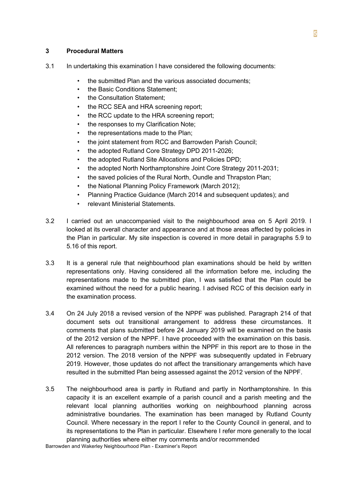## **3 Procedural Matters**

- 3.1 In undertaking this examination I have considered the following documents:
	- the submitted Plan and the various associated documents;
	- the Basic Conditions Statement:
	- the Consultation Statement:
	- the RCC SEA and HRA screening report;
	- the RCC update to the HRA screening report;
	- the responses to my Clarification Note;
	- the representations made to the Plan;
	- the joint statement from RCC and Barrowden Parish Council:
	- the adopted Rutland Core Strategy DPD 2011-2026;
	- the adopted Rutland Site Allocations and Policies DPD;
	- the adopted North Northamptonshire Joint Core Strategy 2011-2031;
	- the saved policies of the Rural North, Oundle and Thrapston Plan;
	- the National Planning Policy Framework (March 2012);
	- Planning Practice Guidance (March 2014 and subsequent updates); and
	- relevant Ministerial Statements.
- 3.2 I carried out an unaccompanied visit to the neighbourhood area on 5 April 2019. I looked at its overall character and appearance and at those areas affected by policies in the Plan in particular. My site inspection is covered in more detail in paragraphs 5.9 to 5.16 of this report.
- 3.3 It is a general rule that neighbourhood plan examinations should be held by written representations only. Having considered all the information before me, including the representations made to the submitted plan, I was satisfied that the Plan could be examined without the need for a public hearing. I advised RCC of this decision early in the examination process.
- 3.4 On 24 July 2018 a revised version of the NPPF was published. Paragraph 214 of that document sets out transitional arrangement to address these circumstances. It comments that plans submitted before 24 January 2019 will be examined on the basis of the 2012 version of the NPPF. I have proceeded with the examination on this basis. All references to paragraph numbers within the NPPF in this report are to those in the 2012 version. The 2018 version of the NPPF was subsequently updated in February 2019. However, those updates do not affect the transitionary arrangements which have resulted in the submitted Plan being assessed against the 2012 version of the NPPF.
- 3.5 The neighbourhood area is partly in Rutland and partly in Northamptonshire. In this capacity it is an excellent example of a parish council and a parish meeting and the relevant local planning authorities working on neighbourhood planning across administrative boundaries. The examination has been managed by Rutland County Council. Where necessary in the report I refer to the County Council in general, and to its representations to the Plan in particular. Elsewhere I refer more generally to the local planning authorities where either my comments and/or recommended

Barrowden and Wakerley Neighbourhood Plan - Examiner's Report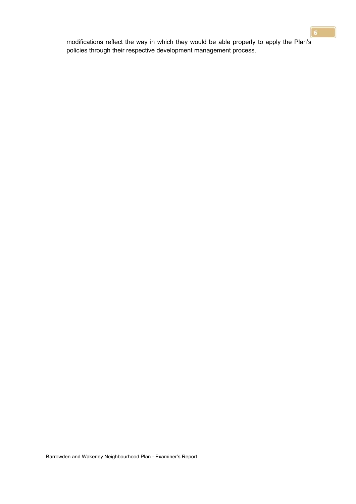modifications reflect the way in which they would be able properly to apply the Plan's policies through their respective development management process.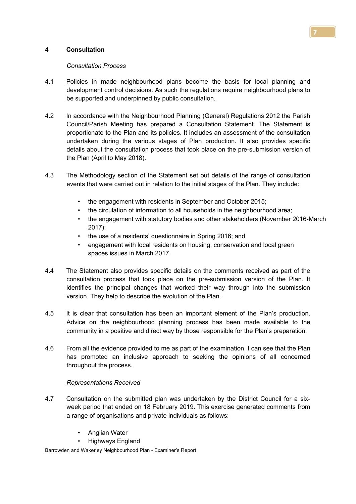## **4 Consultation**

#### *Consultation Process*

- 4.1 Policies in made neighbourhood plans become the basis for local planning and development control decisions. As such the regulations require neighbourhood plans to be supported and underpinned by public consultation.
- 4.2 In accordance with the Neighbourhood Planning (General) Regulations 2012 the Parish Council/Parish Meeting has prepared a Consultation Statement. The Statement is proportionate to the Plan and its policies. It includes an assessment of the consultation undertaken during the various stages of Plan production. It also provides specific details about the consultation process that took place on the pre-submission version of the Plan (April to May 2018).
- 4.3 The Methodology section of the Statement set out details of the range of consultation events that were carried out in relation to the initial stages of the Plan. They include:
	- the engagement with residents in September and October 2015:
	- the circulation of information to all households in the neighbourhood area;
	- the engagement with statutory bodies and other stakeholders (November 2016-March 2017);
	- the use of a residents' questionnaire in Spring 2016; and
	- engagement with local residents on housing, conservation and local green spaces issues in March 2017.
- 4.4 The Statement also provides specific details on the comments received as part of the consultation process that took place on the pre-submission version of the Plan. It identifies the principal changes that worked their way through into the submission version. They help to describe the evolution of the Plan.
- 4.5 It is clear that consultation has been an important element of the Plan's production. Advice on the neighbourhood planning process has been made available to the community in a positive and direct way by those responsible for the Plan's preparation.
- 4.6 From all the evidence provided to me as part of the examination, I can see that the Plan has promoted an inclusive approach to seeking the opinions of all concerned throughout the process.

# *Representations Received*

- 4.7 Consultation on the submitted plan was undertaken by the District Council for a sixweek period that ended on 18 February 2019. This exercise generated comments from a range of organisations and private individuals as follows:
	- **Anglian Water**
	- Highways England

Barrowden and Wakerley Neighbourhood Plan - Examiner's Report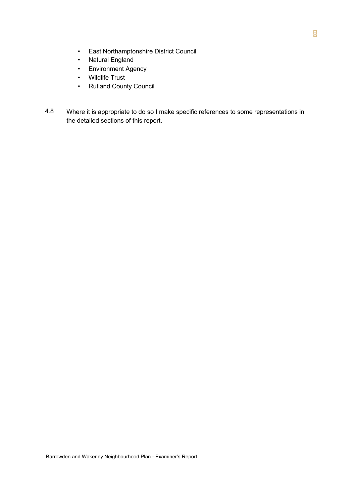- East Northamptonshire District Council
- Natural England
- Environment Agency
- Wildlife Trust
- Rutland County Council
- 4.8 Where it is appropriate to do so I make specific references to some representations in the detailed sections of this report.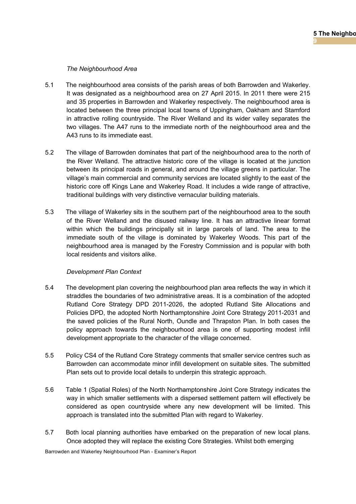## *The Neighbourhood Area*

- 5.1 The neighbourhood area consists of the parish areas of both Barrowden and Wakerley. It was designated as a neighbourhood area on 27 April 2015. In 2011 there were 215 and 35 properties in Barrowden and Wakerley respectively. The neighbourhood area is located between the three principal local towns of Uppingham, Oakham and Stamford in attractive rolling countryside. The River Welland and its wider valley separates the two villages. The A47 runs to the immediate north of the neighbourhood area and the A43 runs to its immediate east.
- 5.2 The village of Barrowden dominates that part of the neighbourhood area to the north of the River Welland. The attractive historic core of the village is located at the junction between its principal roads in general, and around the village greens in particular. The village's main commercial and community services are located slightly to the east of the historic core off Kings Lane and Wakerley Road. It includes a wide range of attractive, traditional buildings with very distinctive vernacular building materials.
- 5.3 The village of Wakerley sits in the southern part of the neighbourhood area to the south of the River Welland and the disused railway line. It has an attractive linear format within which the buildings principally sit in large parcels of land. The area to the immediate south of the village is dominated by Wakerley Woods. This part of the neighbourhood area is managed by the Forestry Commission and is popular with both local residents and visitors alike.

## *Development Plan Context*

- 5.4 The development plan covering the neighbourhood plan area reflects the way in which it straddles the boundaries of two administrative areas. It is a combination of the adopted Rutland Core Strategy DPD 2011-2026, the adopted Rutland Site Allocations and Policies DPD, the adopted North Northamptonshire Joint Core Strategy 2011-2031 and the saved policies of the Rural North, Oundle and Thrapston Plan. In both cases the policy approach towards the neighbourhood area is one of supporting modest infill development appropriate to the character of the village concerned.
- 5.5 Policy CS4 of the Rutland Core Strategy comments that smaller service centres such as Barrowden can accommodate minor infill development on suitable sites. The submitted Plan sets out to provide local details to underpin this strategic approach.
- 5.6 Table 1 (Spatial Roles) of the North Northamptonshire Joint Core Strategy indicates the way in which smaller settlements with a dispersed settlement pattern will effectively be considered as open countryside where any new development will be limited. This approach is translated into the submitted Plan with regard to Wakerley.
- 5.7 Both local planning authorities have embarked on the preparation of new local plans. Once adopted they will replace the existing Core Strategies. Whilst both emerging

Barrowden and Wakerley Neighbourhood Plan - Examiner's Report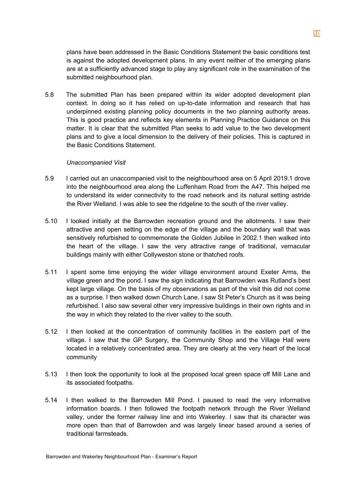plans have been addressed in the Basic Conditions Statement the basic conditions test is against the adopted development plans. In any event neither of the emerging plans are at a sufficiently advanced stage to play any significant role in the examination of the submitted neighbourhood plan.

5.8 The submitted Plan has been prepared within its wider adopted development plan context. In doing so it has relied on up-to-date information and research that has underpinned existing planning policy documents in the two planning authority areas. This is good practice and reflects key elements in Planning Practice Guidance on this matter. It is clear that the submitted Plan seeks to add value to the two development plans and to give a local dimension to the delivery of their policies. This is captured in the Basic Conditions Statement.

#### *Unaccompanied Visit*

- 5.9 I carried out an unaccompanied visit to the neighbourhood area on 5 April 2019.1 drove into the neighbourhood area along the Luffenham Road from the A47. This helped me to understand its wider connectivity to the road network and its natural setting astride the River Welland. I was able to see the ridgeline to the south of the river valley.
- 5.10 I looked initially at the Barrowden recreation ground and the allotments. I saw their attractive and open setting on the edge of the village and the boundary wall that was sensitively refurbished to commemorate the Golden Jubilee in 2002.1 then walked into the heart of the village. I saw the very attractive range of traditional, vernacular buildings mainly with either Collyweston stone or thatched roofs.
- 5.11 I spent some time enjoying the wider village environment around Exeter Arms, the village green and the pond. I saw the sign indicating that Barrowden was Rutland's best kept large village. On the basis of my observations as part of the visit this did not come as a surprise. I then walked down Church Lane. I saw St Peter's Church as it was being refurbished. I also saw several other very impressive buildings in their own rights and in the way in which they related to the river valley to the south.
- 5.12 I then looked at the concentration of community facilities in the eastern part of the village. I saw that the GP Surgery, the Community Shop and the Village Hall were located in a relatively concentrated area. They are clearly at the very heart of the local community
- 5.13 I then took the opportunity to look at the proposed local green space off Mill Lane and its associated footpaths.
- 5.14 I then walked to the Barrowden Mill Pond. I paused to read the very informative information boards. I then followed the footpath network through the River Welland valley, under the former railway line and into Wakerley. I saw that its character was more open than that of Barrowden and was largely linear based around a series of traditional farmsteads.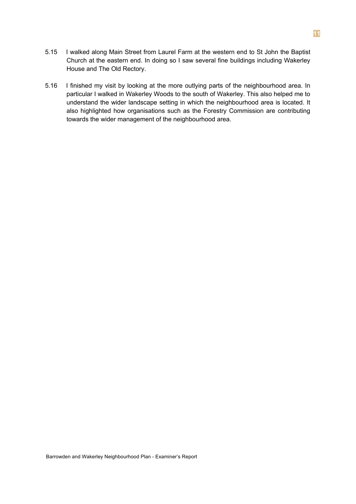- 5.15 I walked along Main Street from Laurel Farm at the western end to St John the Baptist Church at the eastern end. In doing so I saw several fine buildings including Wakerley House and The Old Rectory.
- 5.16 I finished my visit by looking at the more outlying parts of the neighbourhood area. In particular I walked in Wakerley Woods to the south of Wakerley. This also helped me to understand the wider landscape setting in which the neighbourhood area is located. It also highlighted how organisations such as the Forestry Commission are contributing towards the wider management of the neighbourhood area.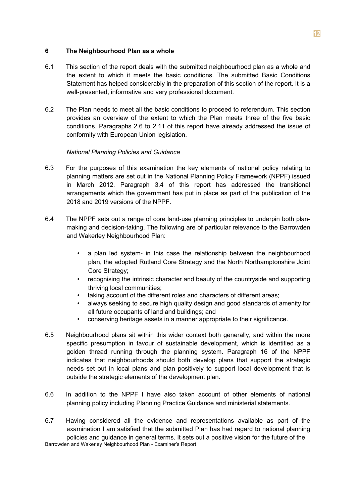## **6 The Neighbourhood Plan as a whole**

- 6.1 This section of the report deals with the submitted neighbourhood plan as a whole and the extent to which it meets the basic conditions. The submitted Basic Conditions Statement has helped considerably in the preparation of this section of the report. It is a well-presented, informative and very professional document.
- 6.2 The Plan needs to meet all the basic conditions to proceed to referendum. This section provides an overview of the extent to which the Plan meets three of the five basic conditions. Paragraphs 2.6 to 2.11 of this report have already addressed the issue of conformity with European Union legislation.

# *National Planning Policies and Guidance*

- 6.3 For the purposes of this examination the key elements of national policy relating to planning matters are set out in the National Planning Policy Framework (NPPF) issued in March 2012. Paragraph 3.4 of this report has addressed the transitional arrangements which the government has put in place as part of the publication of the 2018 and 2019 versions of the NPPF.
- 6.4 The NPPF sets out a range of core land-use planning principles to underpin both planmaking and decision-taking. The following are of particular relevance to the Barrowden and Wakerley Neighbourhood Plan:
	- a plan led system- in this case the relationship between the neighbourhood plan, the adopted Rutland Core Strategy and the North Northamptonshire Joint Core Strategy;
	- recognising the intrinsic character and beauty of the countryside and supporting thriving local communities;
	- taking account of the different roles and characters of different areas;
	- always seeking to secure high quality design and good standards of amenity for all future occupants of land and buildings; and
	- conserving heritage assets in a manner appropriate to their significance.
- 6.5 Neighbourhood plans sit within this wider context both generally, and within the more specific presumption in favour of sustainable development, which is identified as a golden thread running through the planning system. Paragraph 16 of the NPPF indicates that neighbourhoods should both develop plans that support the strategic needs set out in local plans and plan positively to support local development that is outside the strategic elements of the development plan.
- 6.6 In addition to the NPPF I have also taken account of other elements of national planning policy including Planning Practice Guidance and ministerial statements.
- 6.7 Having considered all the evidence and representations available as part of the examination I am satisfied that the submitted Plan has had regard to national planning policies and guidance in general terms. It sets out a positive vision for the future of the Barrowden and Wakerley Neighbourhood Plan - Examiner's Report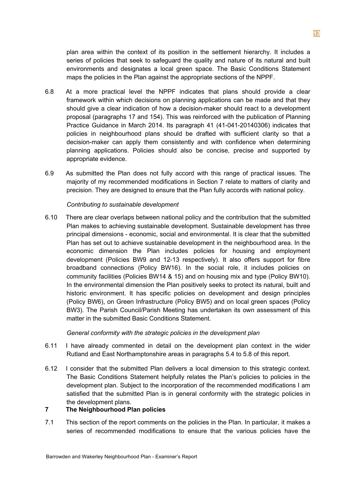plan area within the context of its position in the settlement hierarchy. It includes a series of policies that seek to safeguard the quality and nature of its natural and built environments and designates a local green space. The Basic Conditions Statement maps the policies in the Plan against the appropriate sections of the NPPF.

- 6.8 At a more practical level the NPPF indicates that plans should provide a clear framework within which decisions on planning applications can be made and that they should give a clear indication of how a decision-maker should react to a development proposal (paragraphs 17 and 154). This was reinforced with the publication of Planning Practice Guidance in March 2014. Its paragraph 41 (41-041-20140306) indicates that policies in neighbourhood plans should be drafted with sufficient clarity so that a decision-maker can apply them consistently and with confidence when determining planning applications. Policies should also be concise, precise and supported by appropriate evidence.
- 6.9 As submitted the Plan does not fully accord with this range of practical issues. The majority of my recommended modifications in Section 7 relate to matters of clarity and precision. They are designed to ensure that the Plan fully accords with national policy.

#### *Contributing to sustainable development*

6.10 There are clear overlaps between national policy and the contribution that the submitted Plan makes to achieving sustainable development. Sustainable development has three principal dimensions - economic, social and environmental. It is clear that the submitted Plan has set out to achieve sustainable development in the neighbourhood area. In the economic dimension the Plan includes policies for housing and employment development (Policies BW9 and 12-13 respectively). It also offers support for fibre broadband connections (Policy BW16). In the social role, it includes policies on community facilities (Policies BW14 & 15) and on housing mix and type (Policy BW10). In the environmental dimension the Plan positively seeks to protect its natural, built and historic environment. It has specific policies on development and design principles (Policy BW6), on Green Infrastructure (Policy BW5) and on local green spaces (Policy BW3). The Parish Council/Parish Meeting has undertaken its own assessment of this matter in the submitted Basic Conditions Statement.

#### *General conformity with the strategic policies in the development plan*

- 6.11 I have already commented in detail on the development plan context in the wider Rutland and East Northamptonshire areas in paragraphs 5.4 to 5.8 of this report.
- 6.12 I consider that the submitted Plan delivers a local dimension to this strategic context. The Basic Conditions Statement helpfully relates the Plan's policies to policies in the development plan. Subject to the incorporation of the recommended modifications I am satisfied that the submitted Plan is in general conformity with the strategic policies in the development plans.

# **7 The Neighbourhood Plan policies**

7.1 This section of the report comments on the policies in the Plan. In particular, it makes a series of recommended modifications to ensure that the various policies have the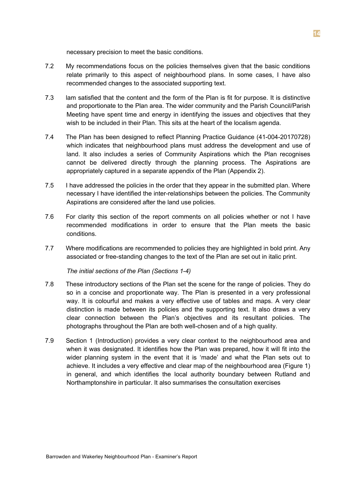necessary precision to meet the basic conditions.

- 7.2 My recommendations focus on the policies themselves given that the basic conditions relate primarily to this aspect of neighbourhood plans. In some cases, I have also recommended changes to the associated supporting text.
- 7.3 lam satisfied that the content and the form of the Plan is fit for purpose. It is distinctive and proportionate to the Plan area. The wider community and the Parish Council/Parish Meeting have spent time and energy in identifying the issues and objectives that they wish to be included in their Plan. This sits at the heart of the localism agenda.
- 7.4 The Plan has been designed to reflect Planning Practice Guidance (41-004-20170728) which indicates that neighbourhood plans must address the development and use of land. It also includes a series of Community Aspirations which the Plan recognises cannot be delivered directly through the planning process. The Aspirations are appropriately captured in a separate appendix of the Plan (Appendix 2).
- 7.5 I have addressed the policies in the order that they appear in the submitted plan. Where necessary I have identified the inter-relationships between the policies. The Community Aspirations are considered after the land use policies.
- 7.6 For clarity this section of the report comments on all policies whether or not I have recommended modifications in order to ensure that the Plan meets the basic conditions.
- 7.7 Where modifications are recommended to policies they are highlighted in bold print. Any associated or free-standing changes to the text of the Plan are set out in italic print.

#### *The initial sections of the Plan (Sections 1-4)*

- 7.8 These introductory sections of the Plan set the scene for the range of policies. They do so in a concise and proportionate way. The Plan is presented in a very professional way. It is colourful and makes a very effective use of tables and maps. A very clear distinction is made between its policies and the supporting text. It also draws a very clear connection between the Plan's objectives and its resultant policies. The photographs throughout the Plan are both well-chosen and of a high quality.
- 7.9 Section 1 (Introduction) provides a very clear context to the neighbourhood area and when it was designated. It identifies how the Plan was prepared, how it will fit into the wider planning system in the event that it is 'made' and what the Plan sets out to achieve. It includes a very effective and clear map of the neighbourhood area (Figure 1) in general, and which identifies the local authority boundary between Rutland and Northamptonshire in particular. It also summarises the consultation exercises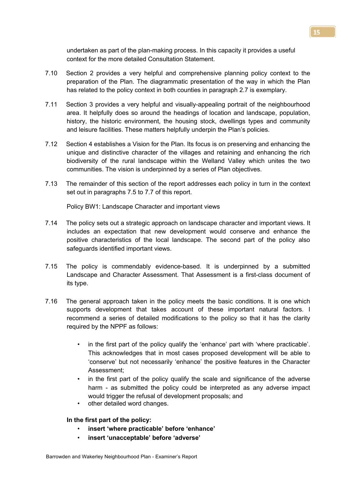undertaken as part of the plan-making process. In this capacity it provides a useful context for the more detailed Consultation Statement.

- 7.10 Section 2 provides a very helpful and comprehensive planning policy context to the preparation of the Plan. The diagrammatic presentation of the way in which the Plan has related to the policy context in both counties in paragraph 2.7 is exemplary.
- 7.11 Section 3 provides a very helpful and visually-appealing portrait of the neighbourhood area. It helpfully does so around the headings of location and landscape, population, history, the historic environment, the housing stock, dwellings types and community and leisure facilities. These matters helpfully underpin the Plan's policies.
- 7.12 Section 4 establishes a Vision for the Plan. Its focus is on preserving and enhancing the unique and distinctive character of the villages and retaining and enhancing the rich biodiversity of the rural landscape within the Welland Valley which unites the two communities. The vision is underpinned by a series of Plan objectives.
- 7.13 The remainder of this section of the report addresses each policy in turn in the context set out in paragraphs 7.5 to 7.7 of this report.

Policy BW1: Landscape Character and important views

- 7.14 The policy sets out a strategic approach on landscape character and important views. It includes an expectation that new development would conserve and enhance the positive characteristics of the local landscape. The second part of the policy also safeguards identified important views.
- 7.15 The policy is commendably evidence-based. It is underpinned by a submitted Landscape and Character Assessment. That Assessment is a first-class document of its type.
- 7.16 The general approach taken in the policy meets the basic conditions. It is one which supports development that takes account of these important natural factors. I recommend a series of detailed modifications to the policy so that it has the clarity required by the NPPF as follows:
	- in the first part of the policy qualify the 'enhance' part with 'where practicable'. This acknowledges that in most cases proposed development will be able to 'conserve' but not necessarily 'enhance' the positive features in the Character Assessment;
	- in the first part of the policy qualify the scale and significance of the adverse harm - as submitted the policy could be interpreted as any adverse impact would trigger the refusal of development proposals; and
	- other detailed word changes.

**In the first part of the policy:**

- **insert 'where practicable' before 'enhance'**
- **insert 'unacceptable' before 'adverse'**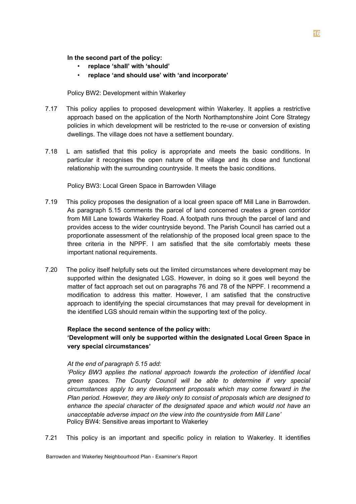**In the second part of the policy:**

- **replace 'shall' with 'should'**
- **replace 'and should use' with 'and incorporate'**

Policy BW2: Development within Wakerley

- 7.17 This policy applies to proposed development within Wakerley. It applies a restrictive approach based on the application of the North Northamptonshire Joint Core Strategy policies in which development will be restricted to the re-use or conversion of existing dwellings. The village does not have a settlement boundary.
- 7.18 L am satisfied that this policy is appropriate and meets the basic conditions. In particular it recognises the open nature of the village and its close and functional relationship with the surrounding countryside. It meets the basic conditions.

Policy BW3: Local Green Space in Barrowden Village

- 7.19 This policy proposes the designation of a local green space off Mill Lane in Barrowden. As paragraph 5.15 comments the parcel of land concerned creates a green corridor from Mill Lane towards Wakerley Road. A footpath runs through the parcel of land and provides access to the wider countryside beyond. The Parish Council has carried out a proportionate assessment of the relationship of the proposed local green space to the three criteria in the NPPF. I am satisfied that the site comfortably meets these important national requirements.
- 7.20 The policy itself helpfully sets out the limited circumstances where development may be supported within the designated LGS. However, in doing so it goes well beyond the matter of fact approach set out on paragraphs 76 and 78 of the NPPF. I recommend a modification to address this matter. However, I am satisfied that the constructive approach to identifying the special circumstances that may prevail for development in the identified LGS should remain within the supporting text of the policy.

## **Replace the second sentence of the policy with:**

# **'Development will only be supported within the designated Local Green Space in very special circumstances'**

## *At the end of paragraph 5.15 add:*

*'Policy BW3 applies the national approach towards the protection of identified local green spaces. The County Council will be able to determine if very special circumstances apply to any development proposals which may come forward in the Plan period. However, they are likely only to consist of proposals which are designed to enhance the special character of the designated space and which would not have an unacceptable adverse impact on the view into the countryside from Mill Lane'* Policy BW4: Sensitive areas important to Wakerley

7.21 This policy is an important and specific policy in relation to Wakerley. It identifies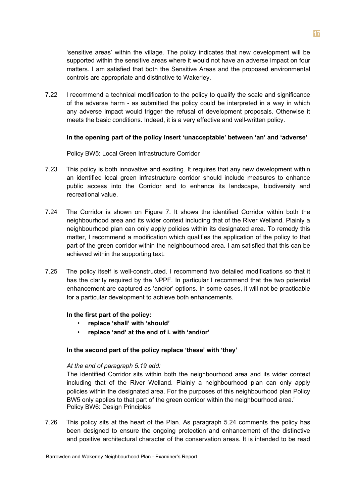'sensitive areas' within the village. The policy indicates that new development will be supported within the sensitive areas where it would not have an adverse impact on four matters. I am satisfied that both the Sensitive Areas and the proposed environmental controls are appropriate and distinctive to Wakerley.

7.22 I recommend a technical modification to the policy to qualify the scale and significance of the adverse harm - as submitted the policy could be interpreted in a way in which any adverse impact would trigger the refusal of development proposals. Otherwise it meets the basic conditions. Indeed, it is a very effective and well-written policy.

## **In the opening part of the policy insert 'unacceptable' between 'an' and 'adverse'**

Policy BW5: Local Green Infrastructure Corridor

- 7.23 This policy is both innovative and exciting. It requires that any new development within an identified local green infrastructure corridor should include measures to enhance public access into the Corridor and to enhance its landscape, biodiversity and recreational value.
- 7.24 The Corridor is shown on Figure 7. It shows the identified Corridor within both the neighbourhood area and its wider context including that of the River Welland. Plainly a neighbourhood plan can only apply policies within its designated area. To remedy this matter, I recommend a modification which qualifies the application of the policy to that part of the green corridor within the neighbourhood area. I am satisfied that this can be achieved within the supporting text.
- 7.25 The policy itself is well-constructed. I recommend two detailed modifications so that it has the clarity required by the NPPF. In particular I recommend that the two potential enhancement are captured as 'and/or' options. In some cases, it will not be practicable for a particular development to achieve both enhancements.

# **In the first part of the policy:**

- **replace 'shall' with 'should'**
- **replace 'and' at the end of i. with 'and/or'**

## **In the second part of the policy replace 'these' with 'they'**

## *At the end of paragraph 5.19 add:*

The identified Corridor sits within both the neighbourhood area and its wider context including that of the River Welland. Plainly a neighbourhood plan can only apply policies within the designated area. For the purposes of this neighbourhood plan Policy BW5 only applies to that part of the green corridor within the neighbourhood area.' Policy BW6: Design Principles

7.26 This policy sits at the heart of the Plan. As paragraph 5.24 comments the policy has been designed to ensure the ongoing protection and enhancement of the distinctive and positive architectural character of the conservation areas. It is intended to be read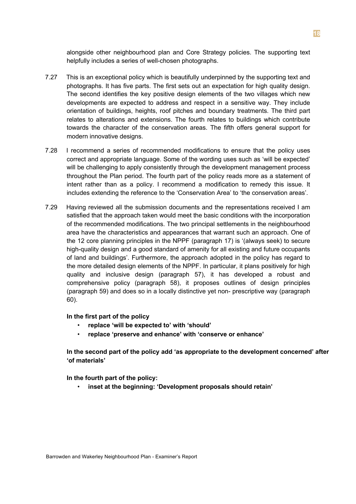alongside other neighbourhood plan and Core Strategy policies. The supporting text helpfully includes a series of well-chosen photographs.

- 7.27 This is an exceptional policy which is beautifully underpinned by the supporting text and photographs. It has five parts. The first sets out an expectation for high quality design. The second identifies the key positive design elements of the two villages which new developments are expected to address and respect in a sensitive way. They include orientation of buildings, heights, roof pitches and boundary treatments. The third part relates to alterations and extensions. The fourth relates to buildings which contribute towards the character of the conservation areas. The fifth offers general support for modern innovative designs.
- 7.28 I recommend a series of recommended modifications to ensure that the policy uses correct and appropriate language. Some of the wording uses such as 'will be expected' will be challenging to apply consistently through the development management process throughout the Plan period. The fourth part of the policy reads more as a statement of intent rather than as a policy. I recommend a modification to remedy this issue. It includes extending the reference to the 'Conservation Area' to 'the conservation areas'.
- 7.29 Having reviewed all the submission documents and the representations received I am satisfied that the approach taken would meet the basic conditions with the incorporation of the recommended modifications. The two principal settlements in the neighbourhood area have the characteristics and appearances that warrant such an approach. One of the 12 core planning principles in the NPPF (paragraph 17) is '(always seek) to secure high-quality design and a good standard of amenity for all existing and future occupants of land and buildings'. Furthermore, the approach adopted in the policy has regard to the more detailed design elements of the NPPF. In particular, it plans positively for high quality and inclusive design (paragraph 57), it has developed a robust and comprehensive policy (paragraph 58), it proposes outlines of design principles (paragraph 59) and does so in a locally distinctive yet non- prescriptive way (paragraph 60).

**In the first part of the policy**

- **replace 'will be expected to' with 'should'**
- **replace 'preserve and enhance' with 'conserve or enhance'**

**In the second part of the policy add 'as appropriate to the development concerned' after 'of materials'**

**In the fourth part of the policy:**

• **inset at the beginning: 'Development proposals should retain'**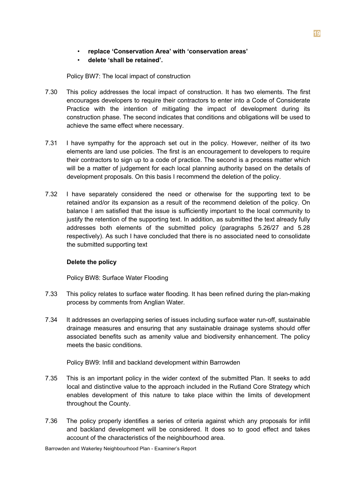• **replace 'Conservation Area' with 'conservation areas'**

# • **delete 'shall be retained'.**

Policy BW7: The local impact of construction

- 7.30 This policy addresses the local impact of construction. It has two elements. The first encourages developers to require their contractors to enter into a Code of Considerate Practice with the intention of mitigating the impact of development during its construction phase. The second indicates that conditions and obligations will be used to achieve the same effect where necessary.
- 7.31 I have sympathy for the approach set out in the policy. However, neither of its two elements are land use policies. The first is an encouragement to developers to require their contractors to sign up to a code of practice. The second is a process matter which will be a matter of judgement for each local planning authority based on the details of development proposals. On this basis I recommend the deletion of the policy.
- 7.32 I have separately considered the need or otherwise for the supporting text to be retained and/or its expansion as a result of the recommend deletion of the policy. On balance I am satisfied that the issue is sufficiently important to the local community to justify the retention of the supporting text. In addition, as submitted the text already fully addresses both elements of the submitted policy (paragraphs 5.26/27 and 5.28 respectively). As such I have concluded that there is no associated need to consolidate the submitted supporting text

# **Delete the policy**

Policy BW8: Surface Water Flooding

- 7.33 This policy relates to surface water flooding. It has been refined during the plan-making process by comments from Anglian Water.
- 7.34 It addresses an overlapping series of issues including surface water run-off, sustainable drainage measures and ensuring that any sustainable drainage systems should offer associated benefits such as amenity value and biodiversity enhancement. The policy meets the basic conditions.

Policy BW9: Infill and backland development within Barrowden

- 7.35 This is an important policy in the wider context of the submitted Plan. It seeks to add local and distinctive value to the approach included in the Rutland Core Strategy which enables development of this nature to take place within the limits of development throughout the County.
- 7.36 The policy properly identifies a series of criteria against which any proposals for infill and backland development will be considered. It does so to good effect and takes account of the characteristics of the neighbourhood area.

Barrowden and Wakerley Neighbourhood Plan - Examiner's Report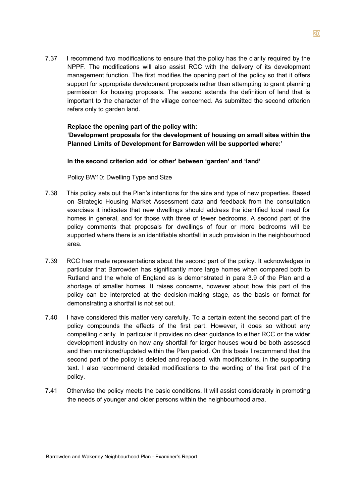7.37 I recommend two modifications to ensure that the policy has the clarity required by the NPPF. The modifications will also assist RCC with the delivery of its development management function. The first modifies the opening part of the policy so that it offers support for appropriate development proposals rather than attempting to grant planning permission for housing proposals. The second extends the definition of land that is important to the character of the village concerned. As submitted the second criterion refers only to garden land.

# **Replace the opening part of the policy with: 'Development proposals for the development of housing on small sites within the Planned Limits of Development for Barrowden will be supported where:'**

## **In the second criterion add 'or other' between 'garden' and 'land'**

Policy BW10: Dwelling Type and Size

- 7.38 This policy sets out the Plan's intentions for the size and type of new properties. Based on Strategic Housing Market Assessment data and feedback from the consultation exercises it indicates that new dwellings should address the identified local need for homes in general, and for those with three of fewer bedrooms. A second part of the policy comments that proposals for dwellings of four or more bedrooms will be supported where there is an identifiable shortfall in such provision in the neighbourhood area.
- 7.39 RCC has made representations about the second part of the policy. It acknowledges in particular that Barrowden has significantly more large homes when compared both to Rutland and the whole of England as is demonstrated in para 3.9 of the Plan and a shortage of smaller homes. It raises concerns, however about how this part of the policy can be interpreted at the decision-making stage, as the basis or format for demonstrating a shortfall is not set out.
- 7.40 I have considered this matter very carefully. To a certain extent the second part of the policy compounds the effects of the first part. However, it does so without any compelling clarity. In particular it provides no clear guidance to either RCC or the wider development industry on how any shortfall for larger houses would be both assessed and then monitored/updated within the Plan period. On this basis I recommend that the second part of the policy is deleted and replaced, with modifications, in the supporting text. I also recommend detailed modifications to the wording of the first part of the policy.
- 7.41 Otherwise the policy meets the basic conditions. It will assist considerably in promoting the needs of younger and older persons within the neighbourhood area.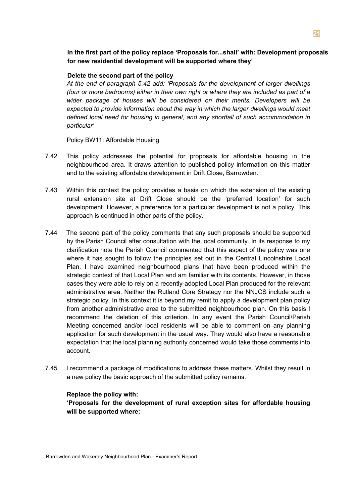**In the first part of the policy replace 'Proposals for...shall' with: Development proposals for new residential development will be supported where they'**

#### **Delete the second part of the policy**

*At the end of paragraph 5.42 add: 'Proposals for the development of larger dwellings (four or more bedrooms) either in their own right or where they are included as part of a wider package of houses will be considered on their merits. Developers will be expected to provide information about the way in which the larger dwellings would meet defined local need for housing in general, and any shortfall of such accommodation in particular'*

Policy BW11: Affordable Housing

- 7.42 This policy addresses the potential for proposals for affordable housing in the neighbourhood area. It draws attention to published policy information on this matter and to the existing affordable development in Drift Close, Barrowden.
- 7.43 Within this context the policy provides a basis on which the extension of the existing rural extension site at Drift Close should be the 'preferred location' for such development. However, a preference for a particular development is not a policy. This approach is continued in other parts of the policy.
- 7.44 The second part of the policy comments that any such proposals should be supported by the Parish Council after consultation with the local community. In its response to my clarification note the Parish Council commented that this aspect of the policy was one where it has sought to follow the principles set out in the Central Lincolnshire Local Plan. I have examined neighbourhood plans that have been produced within the strategic context of that Local Plan and am familiar with its contents. However, in those cases they were able to rely on a recently-adopted Local Plan produced for the relevant administrative area. Neither the Rutland Core Strategy nor the NNJCS include such a strategic policy. In this context it is beyond my remit to apply a development plan policy from another administrative area to the submitted neighbourhood plan. On this basis I recommend the deletion of this criterion. In any event the Parish Council/Parish Meeting concerned and/or local residents will be able to comment on any planning application for such development in the usual way. They would also have a reasonable expectation that the local planning authority concerned would take those comments into account.
- 7.45 I recommend a package of modifications to address these matters. Whilst they result in a new policy the basic approach of the submitted policy remains.

## **Replace the policy with:**

**'Proposals for the development of rural exception sites for affordable housing will be supported where:**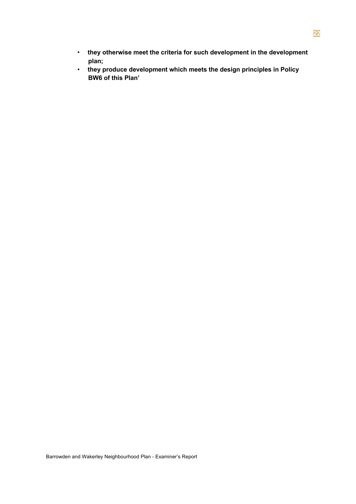- **they otherwise meet the criteria for such development in the development plan;**
- **they produce development which meets the design principles in Policy BW6 of this Plan'**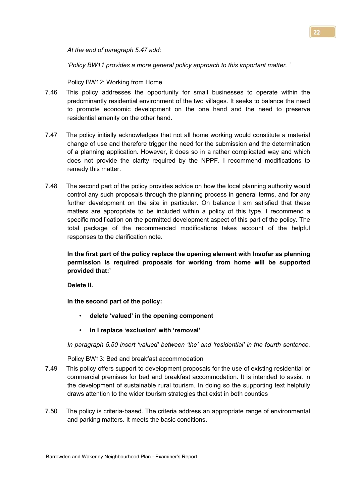*At the end of paragraph 5.47 add:*

*'Policy BW11 provides a more general policy approach to this important matter. '* 

Policy BW12: Working from Home

- 7.46 This policy addresses the opportunity for small businesses to operate within the predominantly residential environment of the two villages. It seeks to balance the need to promote economic development on the one hand and the need to preserve residential amenity on the other hand.
- 7.47 The policy initially acknowledges that not all home working would constitute a material change of use and therefore trigger the need for the submission and the determination of a planning application. However, it does so in a rather complicated way and which does not provide the clarity required by the NPPF. I recommend modifications to remedy this matter.
- 7.48 The second part of the policy provides advice on how the local planning authority would control any such proposals through the planning process in general terms, and for any further development on the site in particular. On balance I am satisfied that these matters are appropriate to be included within a policy of this type. I recommend a specific modification on the permitted development aspect of this part of the policy. The total package of the recommended modifications takes account of the helpful responses to the clarification note.

**In the first part of the policy replace the opening element with Insofar as planning permission is required proposals for working from home will be supported provided that:'**

**Delete II.**

**In the second part of the policy:**

- **delete 'valued' in the opening component**
- **in I replace 'exclusion' with 'removal'**

*In paragraph 5.50 insert 'valued' between 'the' and 'residential' in the fourth sentence.* 

Policy BW13: Bed and breakfast accommodation

- 7.49 This policy offers support to development proposals for the use of existing residential or commercial premises for bed and breakfast accommodation. It is intended to assist in the development of sustainable rural tourism. In doing so the supporting text helpfully draws attention to the wider tourism strategies that exist in both counties
- 7.50 The policy is criteria-based. The criteria address an appropriate range of environmental and parking matters. It meets the basic conditions.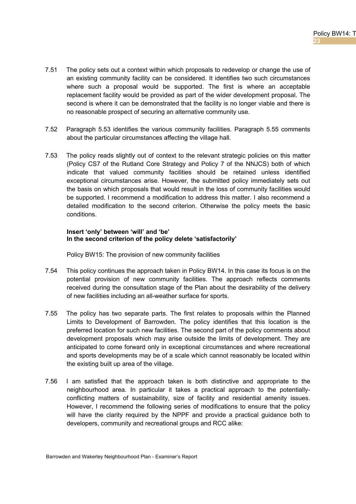- 7.51 The policy sets out a context within which proposals to redevelop or change the use of an existing community facility can be considered. It identifies two such circumstances where such a proposal would be supported. The first is where an acceptable replacement facility would be provided as part of the wider development proposal. The second is where it can be demonstrated that the facility is no longer viable and there is no reasonable prospect of securing an alternative community use.
- 7.52 Paragraph 5.53 identifies the various community facilities. Paragraph 5.55 comments about the particular circumstances affecting the village hall.
- 7.53 The policy reads slightly out of context to the relevant strategic policies on this matter (Policy CS7 of the Rutland Core Strategy and Policy 7 of the NNJCS) both of which indicate that valued community facilities should be retained unless identified exceptional circumstances arise. However, the submitted policy immediately sets out the basis on which proposals that would result in the loss of community facilities would be supported. I recommend a modification to address this matter. I also recommend a detailed modification to the second criterion. Otherwise the policy meets the basic conditions.

## **Insert 'only' between 'will' and 'be' In the second criterion of the policy delete 'satisfactorily'**

Policy BW15: The provision of new community facilities

- 7.54 This policy continues the approach taken in Policy BW14. In this case its focus is on the potential provision of new community facilities. The approach reflects comments received during the consultation stage of the Plan about the desirability of the delivery of new facilities including an all-weather surface for sports.
- 7.55 The policy has two separate parts. The first relates to proposals within the Planned Limits to Development of Barrowden. The policy identifies that this location is the preferred location for such new facilities. The second part of the policy comments about development proposals which may arise outside the limits of development. They are anticipated to come forward only in exceptional circumstances and where recreational and sports developments may be of a scale which cannot reasonably be located within the existing built up area of the village.
- 7.56 I am satisfied that the approach taken is both distinctive and appropriate to the neighbourhood area. In particular it takes a practical approach to the potentiallyconflicting matters of sustainability, size of facility and residential amenity issues. However, I recommend the following series of modifications to ensure that the policy will have the clarity required by the NPPF and provide a practical guidance both to developers, community and recreational groups and RCC alike: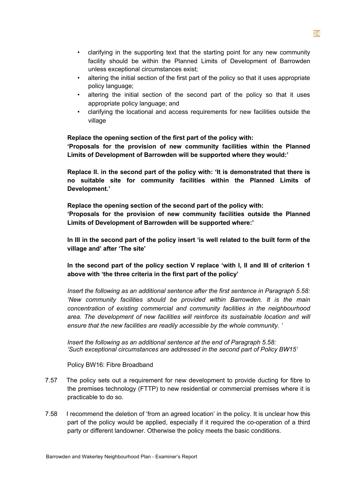- clarifying in the supporting text that the starting point for any new community facility should be within the Planned Limits of Development of Barrowden unless exceptional circumstances exist;
- altering the initial section of the first part of the policy so that it uses appropriate policy language;
- altering the initial section of the second part of the policy so that it uses appropriate policy language; and
- clarifying the locational and access requirements for new facilities outside the village

## **Replace the opening section of the first part of the policy with:**

**'Proposals for the provision of new community facilities within the Planned Limits of Development of Barrowden will be supported where they would:'**

**Replace II. in the second part of the policy with: 'It is demonstrated that there is no suitable site for community facilities within the Planned Limits of Development.'**

**Replace the opening section of the second part of the policy with: 'Proposals for the provision of new community facilities outside the Planned Limits of Development of Barrowden will be supported where:'**

**In III in the second part of the policy insert 'is well related to the built form of the village and' after 'The site'**

**In the second part of the policy section V replace 'with I, II and III of criterion 1 above with 'the three criteria in the first part of the policy'**

*Insert the following as an additional sentence after the first sentence in Paragraph 5.58: 'New community facilities should be provided within Barrowden. It is the main concentration of existing commercial and community facilities in the neighbourhood area. The development of new facilities will reinforce its sustainable location and will ensure that the new facilities are readily accessible by the whole community. '*

*Insert the following as an additional sentence at the end of Paragraph 5.58: 'Such exceptional circumstances are addressed in the second part of Policy BW15'*

Policy BW16: Fibre Broadband

- 7.57 The policy sets out a requirement for new development to provide ducting for fibre to the premises technology (FTTP) to new residential or commercial premises where it is practicable to do so.
- 7.58 I recommend the deletion of 'from an agreed location' in the policy. It is unclear how this part of the policy would be applied, especially if it required the co-operation of a third party or different landowner. Otherwise the policy meets the basic conditions.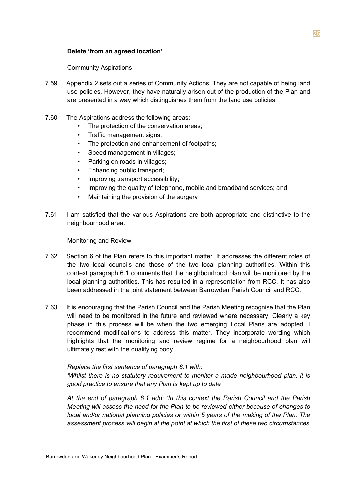## **Delete 'from an agreed location'**

## Community Aspirations

- 7.59 Appendix 2 sets out a series of Community Actions. They are not capable of being land use policies. However, they have naturally arisen out of the production of the Plan and are presented in a way which distinguishes them from the land use policies.
- 7.60 The Aspirations address the following areas:
	- The protection of the conservation areas;
	- Traffic management signs;
	- The protection and enhancement of footpaths;
	- Speed management in villages;
	- Parking on roads in villages;
	- Enhancing public transport;
	- Improving transport accessibility;
	- Improving the quality of telephone, mobile and broadband services; and
	- Maintaining the provision of the surgery
- 7.61 I am satisfied that the various Aspirations are both appropriate and distinctive to the neighbourhood area.

Monitoring and Review

- 7.62 Section 6 of the Plan refers to this important matter. It addresses the different roles of the two local councils and those of the two local planning authorities. Within this context paragraph 6.1 comments that the neighbourhood plan will be monitored by the local planning authorities. This has resulted in a representation from RCC. It has also been addressed in the joint statement between Barrowden Parish Council and RCC.
- 7.63 It is encouraging that the Parish Council and the Parish Meeting recognise that the Plan will need to be monitored in the future and reviewed where necessary. Clearly a key phase in this process will be when the two emerging Local Plans are adopted. I recommend modifications to address this matter. They incorporate wording which highlights that the monitoring and review regime for a neighbourhood plan will ultimately rest with the qualifying body.

## *Replace the first sentence of paragraph 6.1 with:*

*'Whilst there is no statutory requirement to monitor a made neighbourhood plan, it is good practice to ensure that any Plan is kept up to date'*

*At the end of paragraph 6.1 add: 'In this context the Parish Council and the Parish Meeting will assess the need for the Plan to be reviewed either because of changes to local and/or national planning policies or within 5 years of the making of the Plan. The assessment process will begin at the point at which the first of these two circumstances*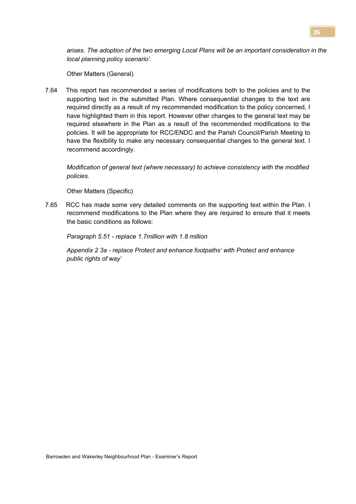*arises. The adoption of the two emerging Local Plans will be an important consideration in the local planning policy scenario'.*

Other Matters (General)

7.64 This report has recommended a series of modifications both to the policies and to the supporting text in the submitted Plan. Where consequential changes to the text are required directly as a result of my recommended modification to the policy concerned, I have highlighted them in this report. However other changes to the general text may be required elsewhere in the Plan as a result of the recommended modifications to the policies. It will be appropriate for RCC/ENDC and the Parish Council/Parish Meeting to have the flexibility to make any necessary consequential changes to the general text. I recommend accordingly.

*Modification of general text (where necessary) to achieve consistency with the modified policies.*

Other Matters (Specific)

7.65 RCC has made some very detailed comments on the supporting text within the Plan. I recommend modifications to the Plan where they are required to ensure that it meets the basic conditions as follows:

*Paragraph 5.51 - replace 1.7million with 1.8 million*

*Appendix 2 3a - replace Protect and enhance footpaths' with Protect and enhance public rights of way'*